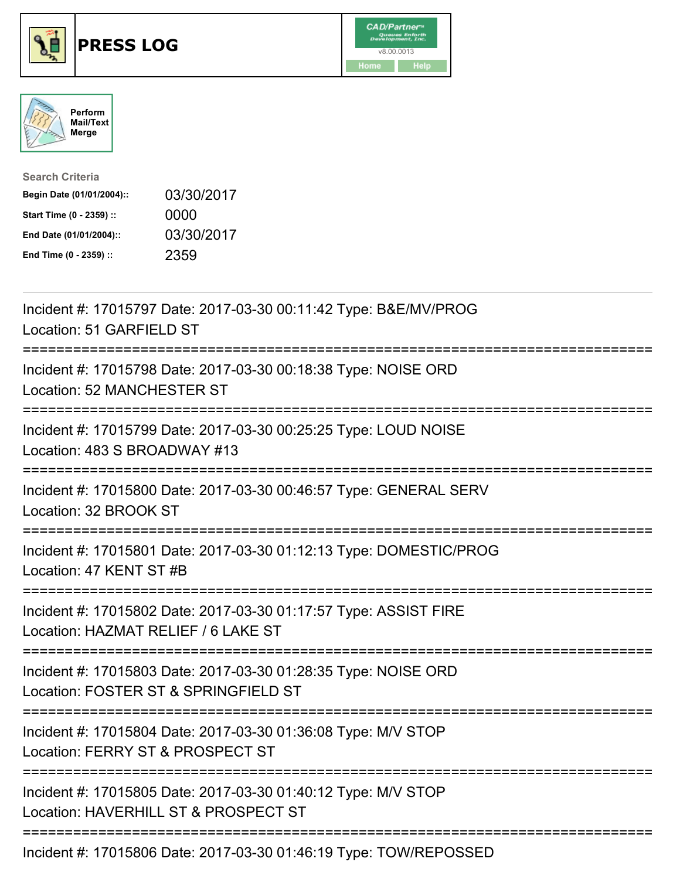





| <b>Search Criteria</b>    |            |
|---------------------------|------------|
| Begin Date (01/01/2004):: | 03/30/2017 |
| Start Time (0 - 2359) ::  | 0000       |
| End Date (01/01/2004)::   | 03/30/2017 |
| End Time (0 - 2359) ::    | 2359       |

| Incident #: 17015797 Date: 2017-03-30 00:11:42 Type: B&E/MV/PROG<br>Location: 51 GARFIELD ST<br>:==============                          |
|------------------------------------------------------------------------------------------------------------------------------------------|
| Incident #: 17015798 Date: 2017-03-30 00:18:38 Type: NOISE ORD<br>Location: 52 MANCHESTER ST                                             |
| Incident #: 17015799 Date: 2017-03-30 00:25:25 Type: LOUD NOISE<br>Location: 483 S BROADWAY #13                                          |
| Incident #: 17015800 Date: 2017-03-30 00:46:57 Type: GENERAL SERV<br>Location: 32 BROOK ST                                               |
| Incident #: 17015801 Date: 2017-03-30 01:12:13 Type: DOMESTIC/PROG<br>Location: 47 KENT ST #B                                            |
| Incident #: 17015802 Date: 2017-03-30 01:17:57 Type: ASSIST FIRE<br>Location: HAZMAT RELIEF / 6 LAKE ST<br>;============================ |
| Incident #: 17015803 Date: 2017-03-30 01:28:35 Type: NOISE ORD<br>Location: FOSTER ST & SPRINGFIELD ST<br>:============================  |
| Incident #: 17015804 Date: 2017-03-30 01:36:08 Type: M/V STOP<br>Location: FERRY ST & PROSPECT ST<br>============================        |
| Incident #: 17015805 Date: 2017-03-30 01:40:12 Type: M/V STOP<br>Location: HAVERHILL ST & PROSPECT ST                                    |
| Incident #: 17015806 Date: 2017-03-30 01:46:19 Type: TOW/REPOSSED                                                                        |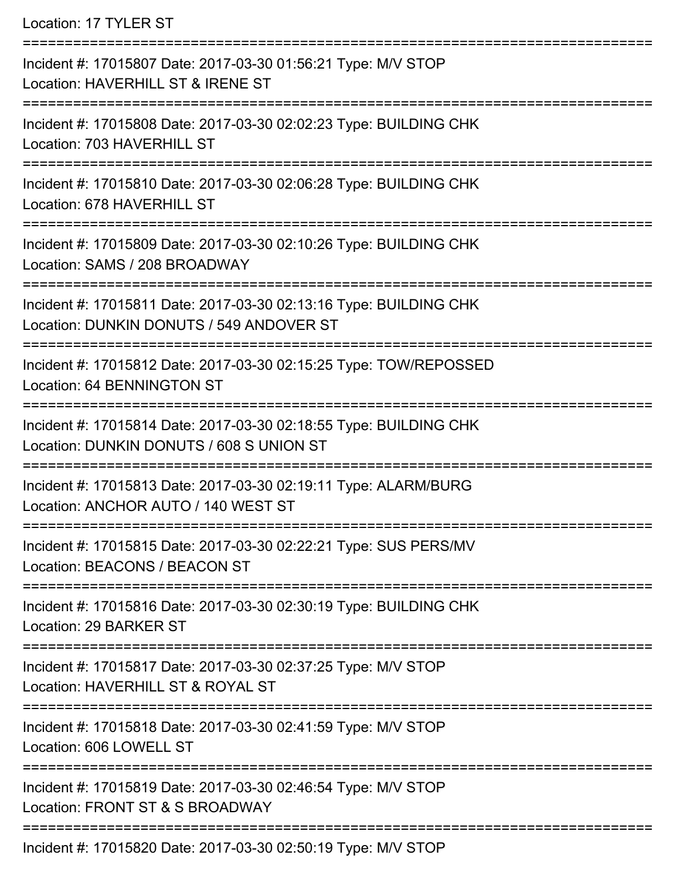Location: 17 TYLER ST

| Incident #: 17015807 Date: 2017-03-30 01:56:21 Type: M/V STOP<br>Location: HAVERHILL ST & IRENE ST            |
|---------------------------------------------------------------------------------------------------------------|
| Incident #: 17015808 Date: 2017-03-30 02:02:23 Type: BUILDING CHK<br>Location: 703 HAVERHILL ST               |
| Incident #: 17015810 Date: 2017-03-30 02:06:28 Type: BUILDING CHK<br>Location: 678 HAVERHILL ST               |
| Incident #: 17015809 Date: 2017-03-30 02:10:26 Type: BUILDING CHK<br>Location: SAMS / 208 BROADWAY            |
| Incident #: 17015811 Date: 2017-03-30 02:13:16 Type: BUILDING CHK<br>Location: DUNKIN DONUTS / 549 ANDOVER ST |
| Incident #: 17015812 Date: 2017-03-30 02:15:25 Type: TOW/REPOSSED<br>Location: 64 BENNINGTON ST               |
| Incident #: 17015814 Date: 2017-03-30 02:18:55 Type: BUILDING CHK<br>Location: DUNKIN DONUTS / 608 S UNION ST |
| Incident #: 17015813 Date: 2017-03-30 02:19:11 Type: ALARM/BURG<br>Location: ANCHOR AUTO / 140 WEST ST        |
| Incident #: 17015815 Date: 2017-03-30 02:22:21 Type: SUS PERS/MV<br>Location: BEACONS / BEACON ST             |
| Incident #: 17015816 Date: 2017-03-30 02:30:19 Type: BUILDING CHK<br>Location: 29 BARKER ST                   |
| Incident #: 17015817 Date: 2017-03-30 02:37:25 Type: M/V STOP<br>Location: HAVERHILL ST & ROYAL ST            |
| Incident #: 17015818 Date: 2017-03-30 02:41:59 Type: M/V STOP<br>Location: 606 LOWELL ST                      |
| Incident #: 17015819 Date: 2017-03-30 02:46:54 Type: M/V STOP<br>Location: FRONT ST & S BROADWAY              |
| Incident #: 17015820 Date: 2017-03-30 02:50:19 Type: M/V STOP                                                 |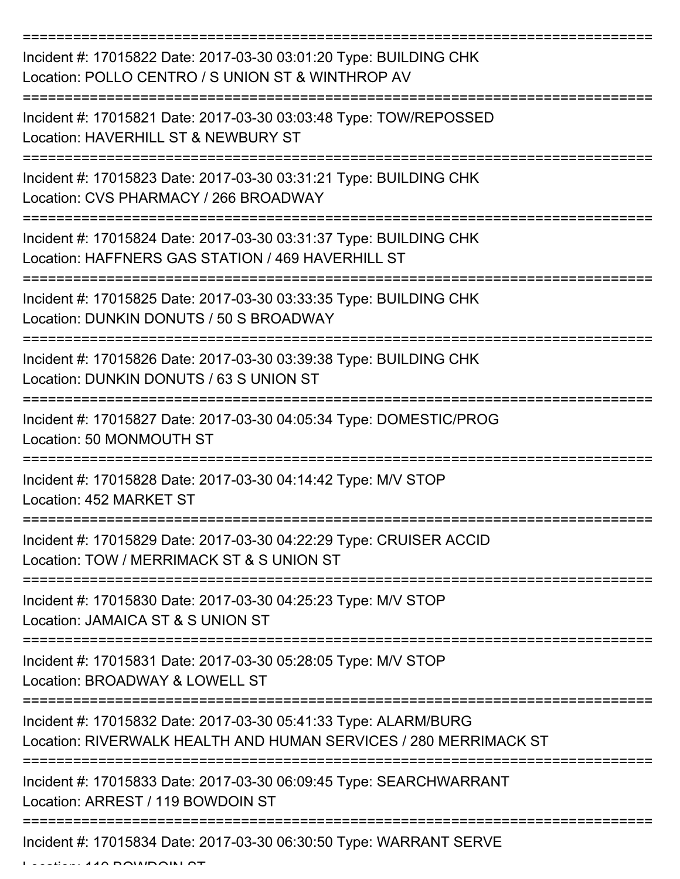| Incident #: 17015822 Date: 2017-03-30 03:01:20 Type: BUILDING CHK<br>Location: POLLO CENTRO / S UNION ST & WINTHROP AV<br>================================= |
|-------------------------------------------------------------------------------------------------------------------------------------------------------------|
| Incident #: 17015821 Date: 2017-03-30 03:03:48 Type: TOW/REPOSSED<br>Location: HAVERHILL ST & NEWBURY ST                                                    |
| Incident #: 17015823 Date: 2017-03-30 03:31:21 Type: BUILDING CHK<br>Location: CVS PHARMACY / 266 BROADWAY                                                  |
| Incident #: 17015824 Date: 2017-03-30 03:31:37 Type: BUILDING CHK<br>Location: HAFFNERS GAS STATION / 469 HAVERHILL ST                                      |
| Incident #: 17015825 Date: 2017-03-30 03:33:35 Type: BUILDING CHK<br>Location: DUNKIN DONUTS / 50 S BROADWAY                                                |
| Incident #: 17015826 Date: 2017-03-30 03:39:38 Type: BUILDING CHK<br>Location: DUNKIN DONUTS / 63 S UNION ST                                                |
| Incident #: 17015827 Date: 2017-03-30 04:05:34 Type: DOMESTIC/PROG<br>Location: 50 MONMOUTH ST                                                              |
| Incident #: 17015828 Date: 2017-03-30 04:14:42 Type: M/V STOP<br>Location: 452 MARKET ST                                                                    |
| Incident #: 17015829 Date: 2017-03-30 04:22:29 Type: CRUISER ACCID<br>Location: TOW / MERRIMACK ST & S UNION ST                                             |
| Incident #: 17015830 Date: 2017-03-30 04:25:23 Type: M/V STOP<br>Location: JAMAICA ST & S UNION ST                                                          |
| Incident #: 17015831 Date: 2017-03-30 05:28:05 Type: M/V STOP<br>Location: BROADWAY & LOWELL ST                                                             |
| Incident #: 17015832 Date: 2017-03-30 05:41:33 Type: ALARM/BURG<br>Location: RIVERWALK HEALTH AND HUMAN SERVICES / 280 MERRIMACK ST                         |
| Incident #: 17015833 Date: 2017-03-30 06:09:45 Type: SEARCHWARRANT<br>Location: ARREST / 119 BOWDOIN ST                                                     |
| Incident #: 17015834 Date: 2017-03-30 06:30:50 Type: WARRANT SERVE                                                                                          |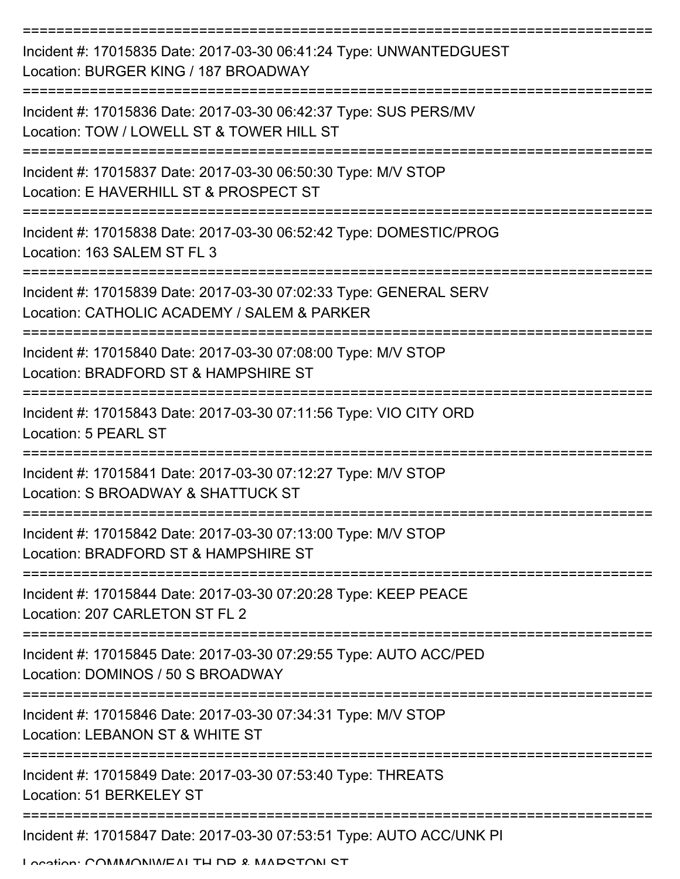| Incident #: 17015835 Date: 2017-03-30 06:41:24 Type: UNWANTEDGUEST<br>Location: BURGER KING / 187 BROADWAY       |
|------------------------------------------------------------------------------------------------------------------|
| Incident #: 17015836 Date: 2017-03-30 06:42:37 Type: SUS PERS/MV<br>Location: TOW / LOWELL ST & TOWER HILL ST    |
| Incident #: 17015837 Date: 2017-03-30 06:50:30 Type: M/V STOP<br>Location: E HAVERHILL ST & PROSPECT ST          |
| Incident #: 17015838 Date: 2017-03-30 06:52:42 Type: DOMESTIC/PROG<br>Location: 163 SALEM ST FL 3                |
| Incident #: 17015839 Date: 2017-03-30 07:02:33 Type: GENERAL SERV<br>Location: CATHOLIC ACADEMY / SALEM & PARKER |
| Incident #: 17015840 Date: 2017-03-30 07:08:00 Type: M/V STOP<br>Location: BRADFORD ST & HAMPSHIRE ST            |
| Incident #: 17015843 Date: 2017-03-30 07:11:56 Type: VIO CITY ORD<br><b>Location: 5 PEARL ST</b>                 |
| Incident #: 17015841 Date: 2017-03-30 07:12:27 Type: M/V STOP<br>Location: S BROADWAY & SHATTUCK ST              |
| Incident #: 17015842 Date: 2017-03-30 07:13:00 Type: M/V STOP<br>Location: BRADFORD ST & HAMPSHIRE ST            |
| Incident #: 17015844 Date: 2017-03-30 07:20:28 Type: KEEP PEACE<br>Location: 207 CARLETON ST FL 2                |
| Incident #: 17015845 Date: 2017-03-30 07:29:55 Type: AUTO ACC/PED<br>Location: DOMINOS / 50 S BROADWAY           |
| Incident #: 17015846 Date: 2017-03-30 07:34:31 Type: M/V STOP<br>Location: LEBANON ST & WHITE ST                 |
| Incident #: 17015849 Date: 2017-03-30 07:53:40 Type: THREATS<br>Location: 51 BERKELEY ST                         |
| Incident #: 17015847 Date: 2017-03-30 07:53:51 Type: AUTO ACC/UNK PI                                             |

Location: COMMAONIMEALTH DD & MADETONI ET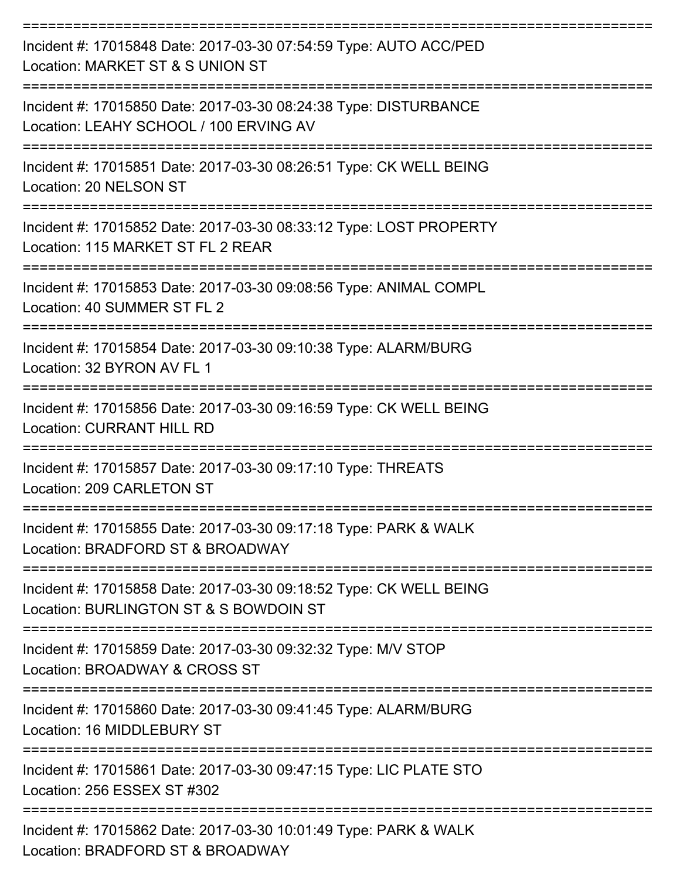=========================================================================== Incident #: 17015848 Date: 2017-03-30 07:54:59 Type: AUTO ACC/PED Location: MARKET ST & S UNION ST =========================================================================== Incident #: 17015850 Date: 2017-03-30 08:24:38 Type: DISTURBANCE Location: LEAHY SCHOOL / 100 ERVING AV =========================================================================== Incident #: 17015851 Date: 2017-03-30 08:26:51 Type: CK WELL BEING Location: 20 NELSON ST =========================================================================== Incident #: 17015852 Date: 2017-03-30 08:33:12 Type: LOST PROPERTY Location: 115 MARKET ST FL 2 REAR =========================================================================== Incident #: 17015853 Date: 2017-03-30 09:08:56 Type: ANIMAL COMPL Location: 40 SUMMER ST FL 2 =========================================================================== Incident #: 17015854 Date: 2017-03-30 09:10:38 Type: ALARM/BURG Location: 32 BYRON AV FL 1 =========================================================================== Incident #: 17015856 Date: 2017-03-30 09:16:59 Type: CK WELL BEING Location: CURRANT HILL RD =========================================================================== Incident #: 17015857 Date: 2017-03-30 09:17:10 Type: THREATS Location: 209 CARLETON ST =========================================================================== Incident #: 17015855 Date: 2017-03-30 09:17:18 Type: PARK & WALK Location: BRADFORD ST & BROADWAY =========================================================================== Incident #: 17015858 Date: 2017-03-30 09:18:52 Type: CK WELL BEING Location: BURLINGTON ST & S BOWDOIN ST =========================================================================== Incident #: 17015859 Date: 2017-03-30 09:32:32 Type: M/V STOP Location: BROADWAY & CROSS ST =========================================================================== Incident #: 17015860 Date: 2017-03-30 09:41:45 Type: ALARM/BURG Location: 16 MIDDLEBURY ST =========================================================================== Incident #: 17015861 Date: 2017-03-30 09:47:15 Type: LIC PLATE STO Location: 256 ESSEX ST #302 =========================================================================== Incident #: 17015862 Date: 2017-03-30 10:01:49 Type: PARK & WALK Location: BRADFORD ST & BROADWAY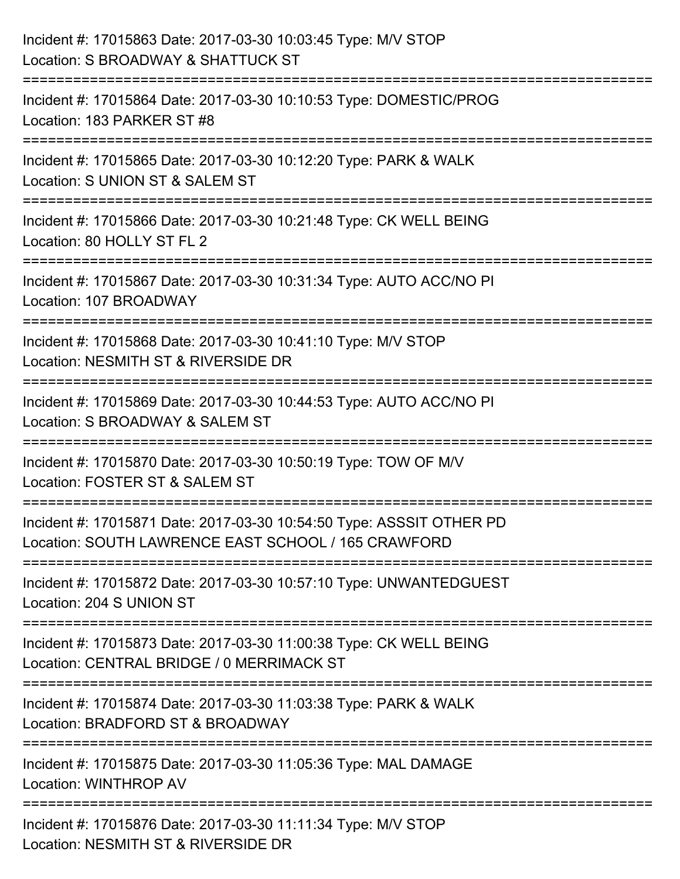| Incident #: 17015863 Date: 2017-03-30 10:03:45 Type: M/V STOP<br>Location: S BROADWAY & SHATTUCK ST                         |
|-----------------------------------------------------------------------------------------------------------------------------|
| Incident #: 17015864 Date: 2017-03-30 10:10:53 Type: DOMESTIC/PROG<br>Location: 183 PARKER ST #8                            |
| Incident #: 17015865 Date: 2017-03-30 10:12:20 Type: PARK & WALK<br>Location: S UNION ST & SALEM ST                         |
| Incident #: 17015866 Date: 2017-03-30 10:21:48 Type: CK WELL BEING<br>Location: 80 HOLLY ST FL 2                            |
| Incident #: 17015867 Date: 2017-03-30 10:31:34 Type: AUTO ACC/NO PI<br>Location: 107 BROADWAY                               |
| Incident #: 17015868 Date: 2017-03-30 10:41:10 Type: M/V STOP<br>Location: NESMITH ST & RIVERSIDE DR                        |
| Incident #: 17015869 Date: 2017-03-30 10:44:53 Type: AUTO ACC/NO PI<br>Location: S BROADWAY & SALEM ST                      |
| Incident #: 17015870 Date: 2017-03-30 10:50:19 Type: TOW OF M/V<br>Location: FOSTER ST & SALEM ST                           |
| Incident #: 17015871 Date: 2017-03-30 10:54:50 Type: ASSSIT OTHER PD<br>Location: SOUTH LAWRENCE EAST SCHOOL / 165 CRAWFORD |
| Incident #: 17015872 Date: 2017-03-30 10:57:10 Type: UNWANTEDGUEST<br>Location: 204 S UNION ST                              |
| Incident #: 17015873 Date: 2017-03-30 11:00:38 Type: CK WELL BEING<br>Location: CENTRAL BRIDGE / 0 MERRIMACK ST             |
| Incident #: 17015874 Date: 2017-03-30 11:03:38 Type: PARK & WALK<br>Location: BRADFORD ST & BROADWAY                        |
| Incident #: 17015875 Date: 2017-03-30 11:05:36 Type: MAL DAMAGE<br><b>Location: WINTHROP AV</b>                             |
| Incident #: 17015876 Date: 2017-03-30 11:11:34 Type: M/V STOP<br>Location: NESMITH ST & RIVERSIDE DR                        |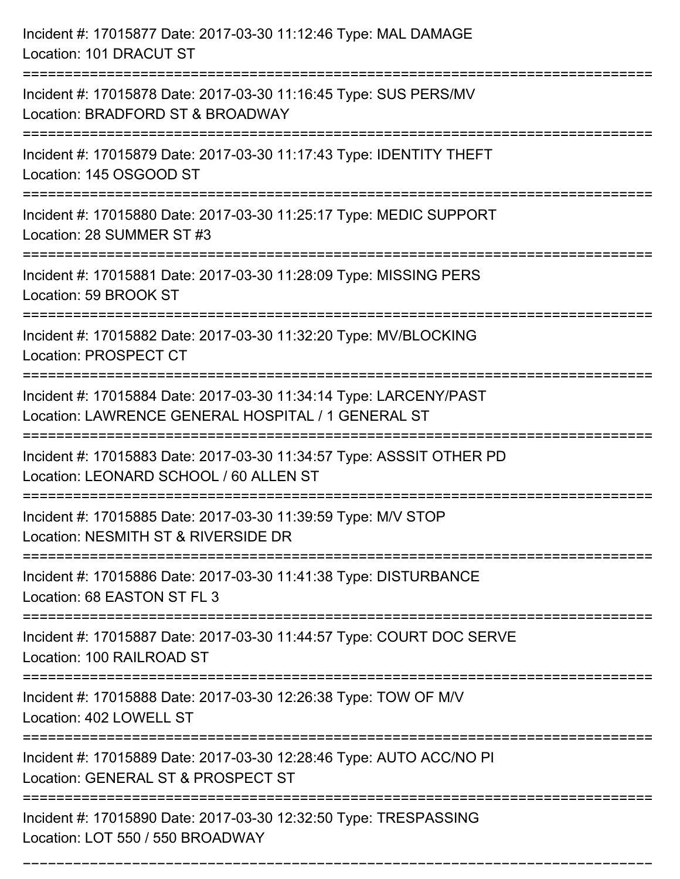| Incident #: 17015877 Date: 2017-03-30 11:12:46 Type: MAL DAMAGE<br>Location: 101 DRACUT ST                                           |
|--------------------------------------------------------------------------------------------------------------------------------------|
| Incident #: 17015878 Date: 2017-03-30 11:16:45 Type: SUS PERS/MV<br>Location: BRADFORD ST & BROADWAY                                 |
| Incident #: 17015879 Date: 2017-03-30 11:17:43 Type: IDENTITY THEFT<br>Location: 145 OSGOOD ST                                       |
| Incident #: 17015880 Date: 2017-03-30 11:25:17 Type: MEDIC SUPPORT<br>Location: 28 SUMMER ST #3                                      |
| Incident #: 17015881 Date: 2017-03-30 11:28:09 Type: MISSING PERS<br>Location: 59 BROOK ST                                           |
| Incident #: 17015882 Date: 2017-03-30 11:32:20 Type: MV/BLOCKING<br>Location: PROSPECT CT                                            |
| Incident #: 17015884 Date: 2017-03-30 11:34:14 Type: LARCENY/PAST<br>Location: LAWRENCE GENERAL HOSPITAL / 1 GENERAL ST              |
| Incident #: 17015883 Date: 2017-03-30 11:34:57 Type: ASSSIT OTHER PD<br>Location: LEONARD SCHOOL / 60 ALLEN ST                       |
| Incident #: 17015885 Date: 2017-03-30 11:39:59 Type: M/V STOP<br>Location: NESMITH ST & RIVERSIDE DR                                 |
| Incident #: 17015886 Date: 2017-03-30 11:41:38 Type: DISTURBANCE<br>Location: 68 EASTON ST FL 3<br>--------------------------------- |
| Incident #: 17015887 Date: 2017-03-30 11:44:57 Type: COURT DOC SERVE<br>Location: 100 RAILROAD ST                                    |
| Incident #: 17015888 Date: 2017-03-30 12:26:38 Type: TOW OF M/V<br>Location: 402 LOWELL ST                                           |
| Incident #: 17015889 Date: 2017-03-30 12:28:46 Type: AUTO ACC/NO PI<br>Location: GENERAL ST & PROSPECT ST                            |
| Incident #: 17015890 Date: 2017-03-30 12:32:50 Type: TRESPASSING<br>Location: LOT 550 / 550 BROADWAY                                 |

===========================================================================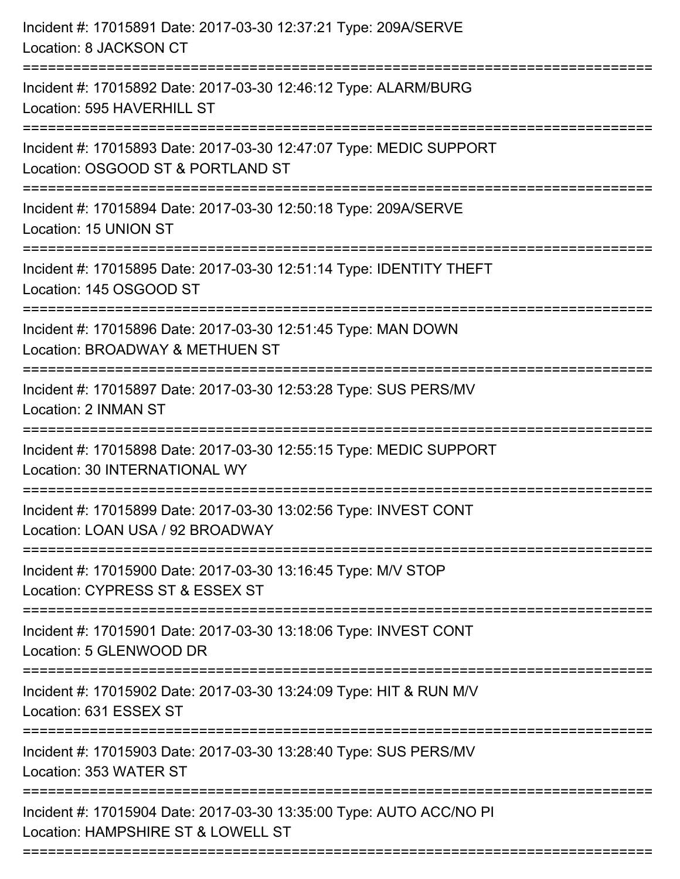| Incident #: 17015891 Date: 2017-03-30 12:37:21 Type: 209A/SERVE<br>Location: 8 JACKSON CT                                                              |
|--------------------------------------------------------------------------------------------------------------------------------------------------------|
| Incident #: 17015892 Date: 2017-03-30 12:46:12 Type: ALARM/BURG<br>Location: 595 HAVERHILL ST                                                          |
| Incident #: 17015893 Date: 2017-03-30 12:47:07 Type: MEDIC SUPPORT<br>Location: OSGOOD ST & PORTLAND ST                                                |
| Incident #: 17015894 Date: 2017-03-30 12:50:18 Type: 209A/SERVE<br>Location: 15 UNION ST                                                               |
| Incident #: 17015895 Date: 2017-03-30 12:51:14 Type: IDENTITY THEFT<br>Location: 145 OSGOOD ST                                                         |
| Incident #: 17015896 Date: 2017-03-30 12:51:45 Type: MAN DOWN<br>Location: BROADWAY & METHUEN ST<br>:===================<br>========================== |
| Incident #: 17015897 Date: 2017-03-30 12:53:28 Type: SUS PERS/MV<br>Location: 2 INMAN ST                                                               |
| Incident #: 17015898 Date: 2017-03-30 12:55:15 Type: MEDIC SUPPORT<br>Location: 30 INTERNATIONAL WY                                                    |
| Incident #: 17015899 Date: 2017-03-30 13:02:56 Type: INVEST CONT<br>Location: LOAN USA / 92 BROADWAY                                                   |
| Incident #: 17015900 Date: 2017-03-30 13:16:45 Type: M/V STOP<br>Location: CYPRESS ST & ESSEX ST                                                       |
| Incident #: 17015901 Date: 2017-03-30 13:18:06 Type: INVEST CONT<br>Location: 5 GLENWOOD DR                                                            |
| --------------------------------<br>Incident #: 17015902 Date: 2017-03-30 13:24:09 Type: HIT & RUN M/V<br>Location: 631 ESSEX ST                       |
| Incident #: 17015903 Date: 2017-03-30 13:28:40 Type: SUS PERS/MV<br>Location: 353 WATER ST                                                             |
| =============================<br>Incident #: 17015904 Date: 2017-03-30 13:35:00 Type: AUTO ACC/NO PI<br>Location: HAMPSHIRE ST & LOWELL ST             |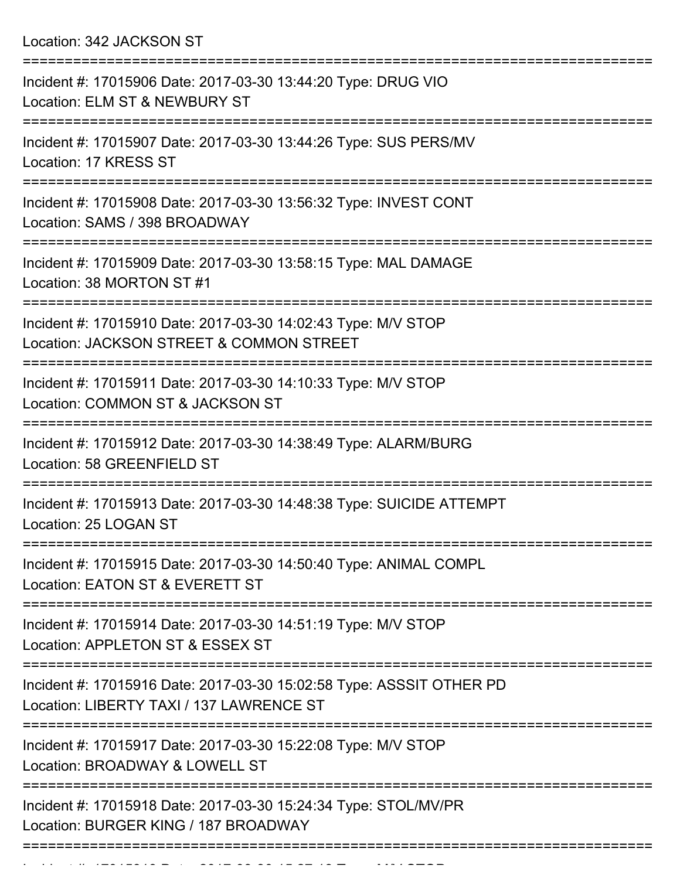Location: 342 JACKSON ST

| Incident #: 17015906 Date: 2017-03-30 13:44:20 Type: DRUG VIO<br>Location: ELM ST & NEWBURY ST                                             |
|--------------------------------------------------------------------------------------------------------------------------------------------|
| Incident #: 17015907 Date: 2017-03-30 13:44:26 Type: SUS PERS/MV<br>Location: 17 KRESS ST                                                  |
| Incident #: 17015908 Date: 2017-03-30 13:56:32 Type: INVEST CONT<br>Location: SAMS / 398 BROADWAY                                          |
| Incident #: 17015909 Date: 2017-03-30 13:58:15 Type: MAL DAMAGE<br>Location: 38 MORTON ST #1                                               |
| Incident #: 17015910 Date: 2017-03-30 14:02:43 Type: M/V STOP<br>Location: JACKSON STREET & COMMON STREET<br>============================= |
| Incident #: 17015911 Date: 2017-03-30 14:10:33 Type: M/V STOP<br>Location: COMMON ST & JACKSON ST                                          |
| Incident #: 17015912 Date: 2017-03-30 14:38:49 Type: ALARM/BURG<br>Location: 58 GREENFIELD ST                                              |
| Incident #: 17015913 Date: 2017-03-30 14:48:38 Type: SUICIDE ATTEMPT<br>Location: 25 LOGAN ST                                              |
| Incident #: 17015915 Date: 2017-03-30 14:50:40 Type: ANIMAL COMPL<br>Location: EATON ST & EVERETT ST                                       |
| Incident #: 17015914 Date: 2017-03-30 14:51:19 Type: M/V STOP<br>Location: APPLETON ST & ESSEX ST                                          |
| Incident #: 17015916 Date: 2017-03-30 15:02:58 Type: ASSSIT OTHER PD<br>Location: LIBERTY TAXI / 137 LAWRENCE ST                           |
| Incident #: 17015917 Date: 2017-03-30 15:22:08 Type: M/V STOP<br>Location: BROADWAY & LOWELL ST                                            |
| Incident #: 17015918 Date: 2017-03-30 15:24:34 Type: STOL/MV/PR<br>Location: BURGER KING / 187 BROADWAY                                    |
|                                                                                                                                            |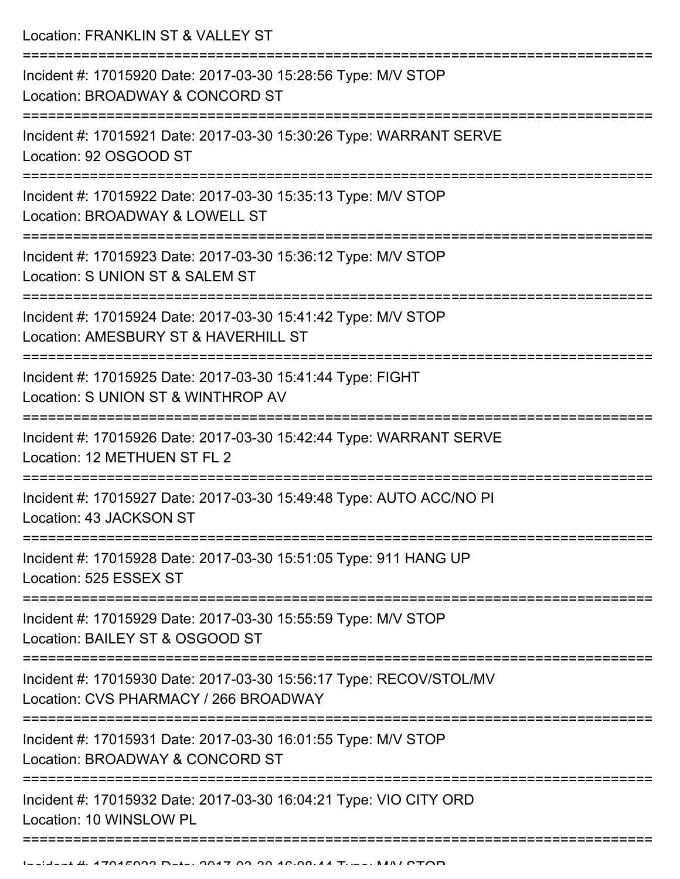Location: FRANKLIN ST & VALLEY ST

| Incident #: 17015920 Date: 2017-03-30 15:28:56 Type: M/V STOP<br>Location: BROADWAY & CONCORD ST                     |
|----------------------------------------------------------------------------------------------------------------------|
| Incident #: 17015921 Date: 2017-03-30 15:30:26 Type: WARRANT SERVE<br>Location: 92 OSGOOD ST                         |
| Incident #: 17015922 Date: 2017-03-30 15:35:13 Type: M/V STOP<br>Location: BROADWAY & LOWELL ST                      |
| Incident #: 17015923 Date: 2017-03-30 15:36:12 Type: M/V STOP<br>Location: S UNION ST & SALEM ST                     |
| Incident #: 17015924 Date: 2017-03-30 15:41:42 Type: M/V STOP<br>Location: AMESBURY ST & HAVERHILL ST                |
| Incident #: 17015925 Date: 2017-03-30 15:41:44 Type: FIGHT<br>Location: S UNION ST & WINTHROP AV                     |
| Incident #: 17015926 Date: 2017-03-30 15:42:44 Type: WARRANT SERVE<br>Location: 12 METHUEN ST FL 2                   |
| Incident #: 17015927 Date: 2017-03-30 15:49:48 Type: AUTO ACC/NO PI<br>Location: 43 JACKSON ST                       |
| Incident #: 17015928 Date: 2017-03-30 15:51:05 Type: 911 HANG UP<br>Location: 525 ESSEX ST                           |
| ----------------<br>Incident #: 17015929 Date: 2017-03-30 15:55:59 Type: M/V STOP<br>Location: BAILEY ST & OSGOOD ST |
| Incident #: 17015930 Date: 2017-03-30 15:56:17 Type: RECOV/STOL/MV<br>Location: CVS PHARMACY / 266 BROADWAY          |
| Incident #: 17015931 Date: 2017-03-30 16:01:55 Type: M/V STOP<br>Location: BROADWAY & CONCORD ST                     |
| Incident #: 17015932 Date: 2017-03-30 16:04:21 Type: VIO CITY ORD<br>Location: 10 WINSLOW PL                         |
|                                                                                                                      |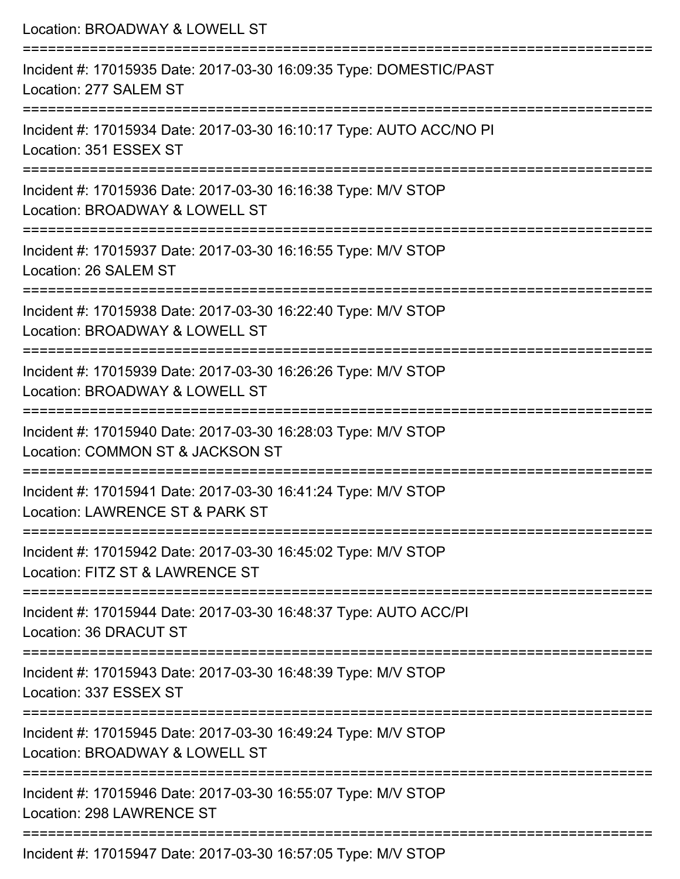| Location: BROADWAY & LOWELL ST                                                                                                   |
|----------------------------------------------------------------------------------------------------------------------------------|
| Incident #: 17015935 Date: 2017-03-30 16:09:35 Type: DOMESTIC/PAST<br>Location: 277 SALEM ST<br>:======================          |
| Incident #: 17015934 Date: 2017-03-30 16:10:17 Type: AUTO ACC/NO PI<br>Location: 351 ESSEX ST                                    |
| Incident #: 17015936 Date: 2017-03-30 16:16:38 Type: M/V STOP<br>Location: BROADWAY & LOWELL ST<br>=======================       |
| Incident #: 17015937 Date: 2017-03-30 16:16:55 Type: M/V STOP<br>Location: 26 SALEM ST                                           |
| Incident #: 17015938 Date: 2017-03-30 16:22:40 Type: M/V STOP<br>Location: BROADWAY & LOWELL ST<br>============================= |
| Incident #: 17015939 Date: 2017-03-30 16:26:26 Type: M/V STOP<br>Location: BROADWAY & LOWELL ST                                  |
| :==================<br>Incident #: 17015940 Date: 2017-03-30 16:28:03 Type: M/V STOP<br>Location: COMMON ST & JACKSON ST         |
| Incident #: 17015941 Date: 2017-03-30 16:41:24 Type: M/V STOP<br>Location: LAWRENCE ST & PARK ST                                 |
| Incident #: 17015942 Date: 2017-03-30 16:45:02 Type: M/V STOP<br>Location: FITZ ST & LAWRENCE ST                                 |
| Incident #: 17015944 Date: 2017-03-30 16:48:37 Type: AUTO ACC/PI<br>Location: 36 DRACUT ST                                       |
| Incident #: 17015943 Date: 2017-03-30 16:48:39 Type: M/V STOP<br>Location: 337 ESSEX ST                                          |
| Incident #: 17015945 Date: 2017-03-30 16:49:24 Type: M/V STOP<br>Location: BROADWAY & LOWELL ST                                  |
| Incident #: 17015946 Date: 2017-03-30 16:55:07 Type: M/V STOP<br>Location: 298 LAWRENCE ST                                       |
| $7.011.0047.00.00.40.57.05.7$ $1111.0700$                                                                                        |

Incident #: 17015947 Date: 2017-03-30 16:57:05 Type: M/V STOP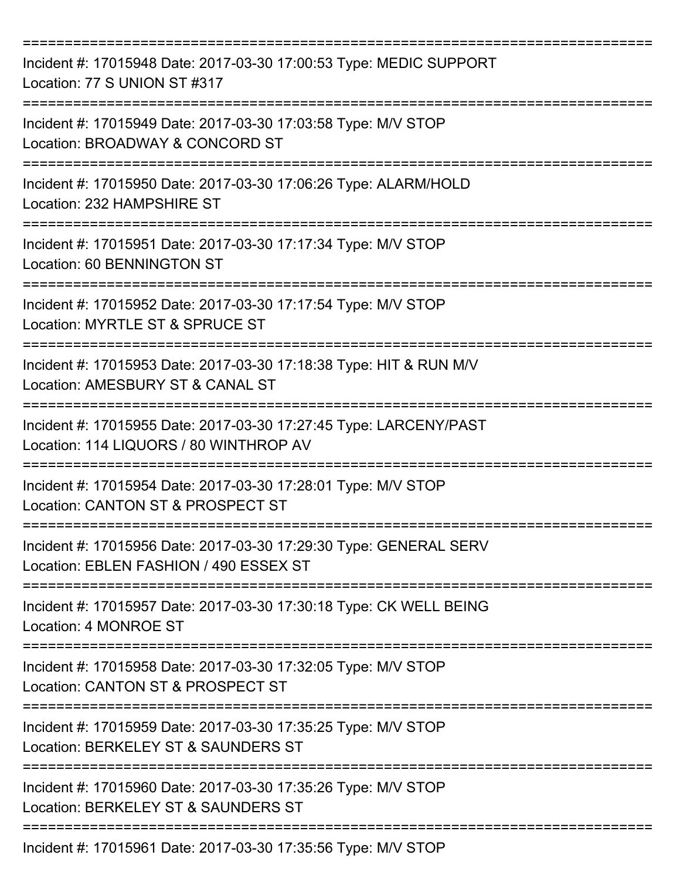| Incident #: 17015948 Date: 2017-03-30 17:00:53 Type: MEDIC SUPPORT<br>Location: 77 S UNION ST #317          |
|-------------------------------------------------------------------------------------------------------------|
| Incident #: 17015949 Date: 2017-03-30 17:03:58 Type: M/V STOP<br>Location: BROADWAY & CONCORD ST            |
| Incident #: 17015950 Date: 2017-03-30 17:06:26 Type: ALARM/HOLD<br>Location: 232 HAMPSHIRE ST               |
| Incident #: 17015951 Date: 2017-03-30 17:17:34 Type: M/V STOP<br>Location: 60 BENNINGTON ST                 |
| Incident #: 17015952 Date: 2017-03-30 17:17:54 Type: M/V STOP<br>Location: MYRTLE ST & SPRUCE ST            |
| Incident #: 17015953 Date: 2017-03-30 17:18:38 Type: HIT & RUN M/V<br>Location: AMESBURY ST & CANAL ST      |
| Incident #: 17015955 Date: 2017-03-30 17:27:45 Type: LARCENY/PAST<br>Location: 114 LIQUORS / 80 WINTHROP AV |
| Incident #: 17015954 Date: 2017-03-30 17:28:01 Type: M/V STOP<br>Location: CANTON ST & PROSPECT ST          |
| Incident #: 17015956 Date: 2017-03-30 17:29:30 Type: GENERAL SERV<br>Location: EBLEN FASHION / 490 ESSEX ST |
| Incident #: 17015957 Date: 2017-03-30 17:30:18 Type: CK WELL BEING<br>Location: 4 MONROE ST                 |
| Incident #: 17015958 Date: 2017-03-30 17:32:05 Type: M/V STOP<br>Location: CANTON ST & PROSPECT ST          |
| Incident #: 17015959 Date: 2017-03-30 17:35:25 Type: M/V STOP<br>Location: BERKELEY ST & SAUNDERS ST        |
| Incident #: 17015960 Date: 2017-03-30 17:35:26 Type: M/V STOP<br>Location: BERKELEY ST & SAUNDERS ST        |
| Incident #: 17015961 Date: 2017-03-30 17:35:56 Type: M/V STOP                                               |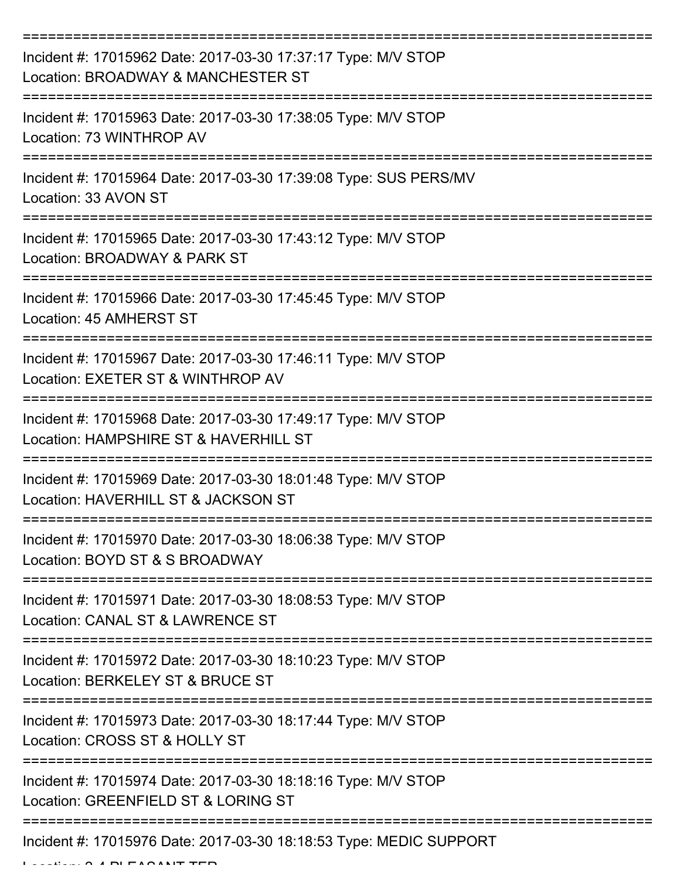| Incident #: 17015962 Date: 2017-03-30 17:37:17 Type: M/V STOP<br>Location: BROADWAY & MANCHESTER ST    |
|--------------------------------------------------------------------------------------------------------|
| Incident #: 17015963 Date: 2017-03-30 17:38:05 Type: M/V STOP<br>Location: 73 WINTHROP AV              |
| Incident #: 17015964 Date: 2017-03-30 17:39:08 Type: SUS PERS/MV<br>Location: 33 AVON ST               |
| Incident #: 17015965 Date: 2017-03-30 17:43:12 Type: M/V STOP<br>Location: BROADWAY & PARK ST          |
| Incident #: 17015966 Date: 2017-03-30 17:45:45 Type: M/V STOP<br>Location: 45 AMHERST ST               |
| Incident #: 17015967 Date: 2017-03-30 17:46:11 Type: M/V STOP<br>Location: EXETER ST & WINTHROP AV     |
| Incident #: 17015968 Date: 2017-03-30 17:49:17 Type: M/V STOP<br>Location: HAMPSHIRE ST & HAVERHILL ST |
| Incident #: 17015969 Date: 2017-03-30 18:01:48 Type: M/V STOP<br>Location: HAVERHILL ST & JACKSON ST   |
| Incident #: 17015970 Date: 2017-03-30 18:06:38 Type: M/V STOP<br>Location: BOYD ST & S BROADWAY        |
| Incident #: 17015971 Date: 2017-03-30 18:08:53 Type: M/V STOP<br>Location: CANAL ST & LAWRENCE ST      |
| Incident #: 17015972 Date: 2017-03-30 18:10:23 Type: M/V STOP<br>Location: BERKELEY ST & BRUCE ST      |
| Incident #: 17015973 Date: 2017-03-30 18:17:44 Type: M/V STOP<br>Location: CROSS ST & HOLLY ST         |
| Incident #: 17015974 Date: 2017-03-30 18:18:16 Type: M/V STOP<br>Location: GREENFIELD ST & LORING ST   |
| Incident #: 17015976 Date: 2017-03-30 18:18:53 Type: MEDIC SUPPORT                                     |

 $L$ ... $A$   $A$  PLEASANT TER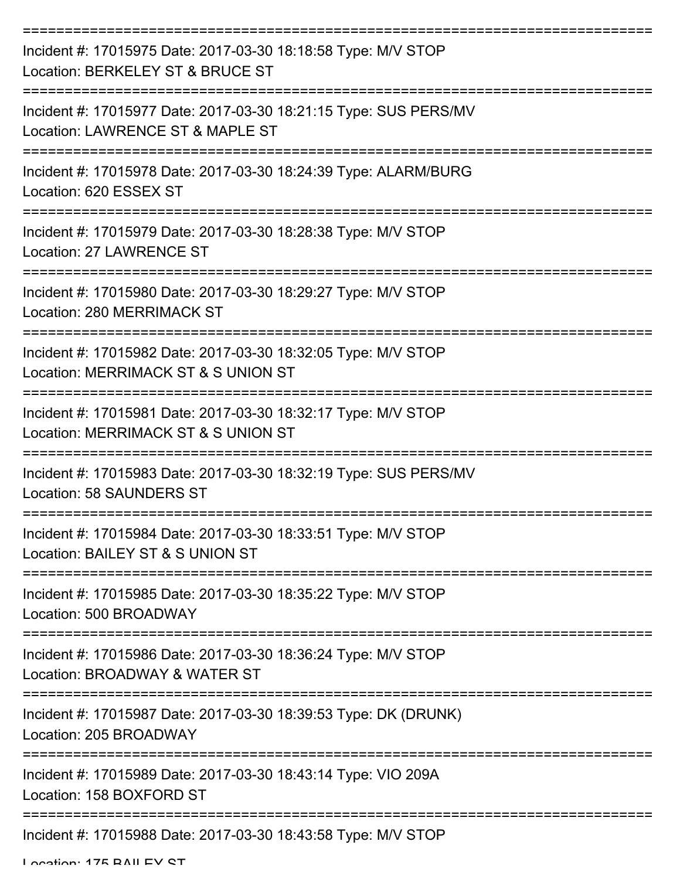| Incident #: 17015975 Date: 2017-03-30 18:18:58 Type: M/V STOP<br>Location: BERKELEY ST & BRUCE ST    |
|------------------------------------------------------------------------------------------------------|
| Incident #: 17015977 Date: 2017-03-30 18:21:15 Type: SUS PERS/MV<br>Location: LAWRENCE ST & MAPLE ST |
| Incident #: 17015978 Date: 2017-03-30 18:24:39 Type: ALARM/BURG<br>Location: 620 ESSEX ST            |
| Incident #: 17015979 Date: 2017-03-30 18:28:38 Type: M/V STOP<br>Location: 27 LAWRENCE ST            |
| Incident #: 17015980 Date: 2017-03-30 18:29:27 Type: M/V STOP<br><b>Location: 280 MERRIMACK ST</b>   |
| Incident #: 17015982 Date: 2017-03-30 18:32:05 Type: M/V STOP<br>Location: MERRIMACK ST & S UNION ST |
| Incident #: 17015981 Date: 2017-03-30 18:32:17 Type: M/V STOP<br>Location: MERRIMACK ST & S UNION ST |
| Incident #: 17015983 Date: 2017-03-30 18:32:19 Type: SUS PERS/MV<br><b>Location: 58 SAUNDERS ST</b>  |
| Incident #: 17015984 Date: 2017-03-30 18:33:51 Type: M/V STOP<br>Location: BAILEY ST & S UNION ST    |
| Incident #: 17015985 Date: 2017-03-30 18:35:22 Type: M/V STOP<br>Location: 500 BROADWAY              |
| Incident #: 17015986 Date: 2017-03-30 18:36:24 Type: M/V STOP<br>Location: BROADWAY & WATER ST       |
| Incident #: 17015987 Date: 2017-03-30 18:39:53 Type: DK (DRUNK)<br>Location: 205 BROADWAY            |
| Incident #: 17015989 Date: 2017-03-30 18:43:14 Type: VIO 209A<br>Location: 158 BOXFORD ST            |
| Incident #: 17015988 Date: 2017-03-30 18:43:58 Type: M/V STOP                                        |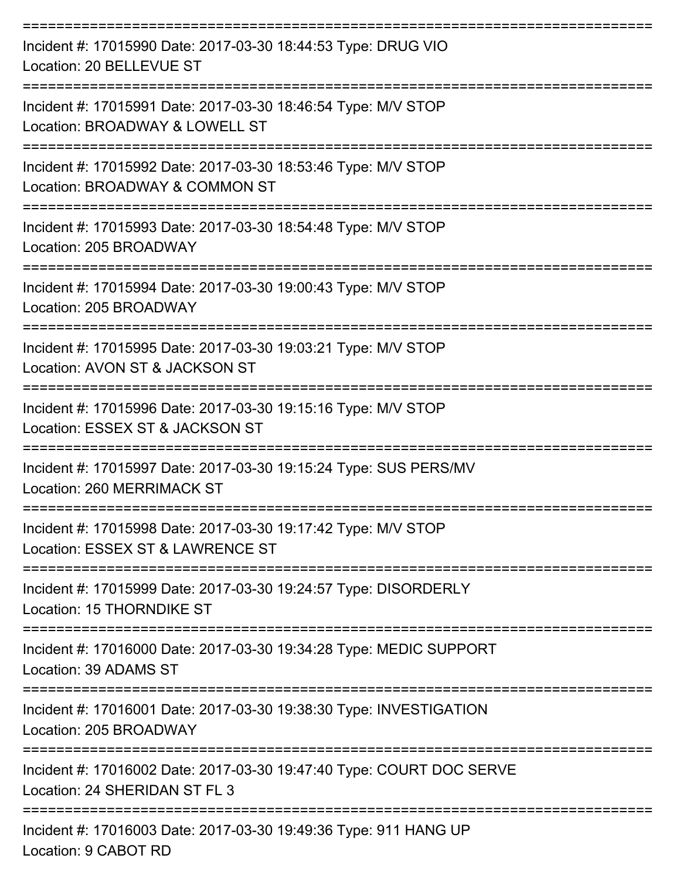| Incident #: 17015990 Date: 2017-03-30 18:44:53 Type: DRUG VIO<br>Location: 20 BELLEVUE ST             |
|-------------------------------------------------------------------------------------------------------|
| Incident #: 17015991 Date: 2017-03-30 18:46:54 Type: M/V STOP<br>Location: BROADWAY & LOWELL ST       |
| Incident #: 17015992 Date: 2017-03-30 18:53:46 Type: M/V STOP<br>Location: BROADWAY & COMMON ST       |
| Incident #: 17015993 Date: 2017-03-30 18:54:48 Type: M/V STOP<br>Location: 205 BROADWAY               |
| Incident #: 17015994 Date: 2017-03-30 19:00:43 Type: M/V STOP<br>Location: 205 BROADWAY               |
| Incident #: 17015995 Date: 2017-03-30 19:03:21 Type: M/V STOP<br>Location: AVON ST & JACKSON ST       |
| Incident #: 17015996 Date: 2017-03-30 19:15:16 Type: M/V STOP<br>Location: ESSEX ST & JACKSON ST      |
| Incident #: 17015997 Date: 2017-03-30 19:15:24 Type: SUS PERS/MV<br>Location: 260 MERRIMACK ST        |
| Incident #: 17015998 Date: 2017-03-30 19:17:42 Type: M/V STOP<br>Location: ESSEX ST & LAWRENCE ST     |
| Incident #: 17015999 Date: 2017-03-30 19:24:57 Type: DISORDERLY<br><b>Location: 15 THORNDIKE ST</b>   |
| Incident #: 17016000 Date: 2017-03-30 19:34:28 Type: MEDIC SUPPORT<br>Location: 39 ADAMS ST           |
| Incident #: 17016001 Date: 2017-03-30 19:38:30 Type: INVESTIGATION<br>Location: 205 BROADWAY          |
| Incident #: 17016002 Date: 2017-03-30 19:47:40 Type: COURT DOC SERVE<br>Location: 24 SHERIDAN ST FL 3 |
| Incident #: 17016003 Date: 2017-03-30 19:49:36 Type: 911 HANG UP<br>Location: 9 CABOT RD              |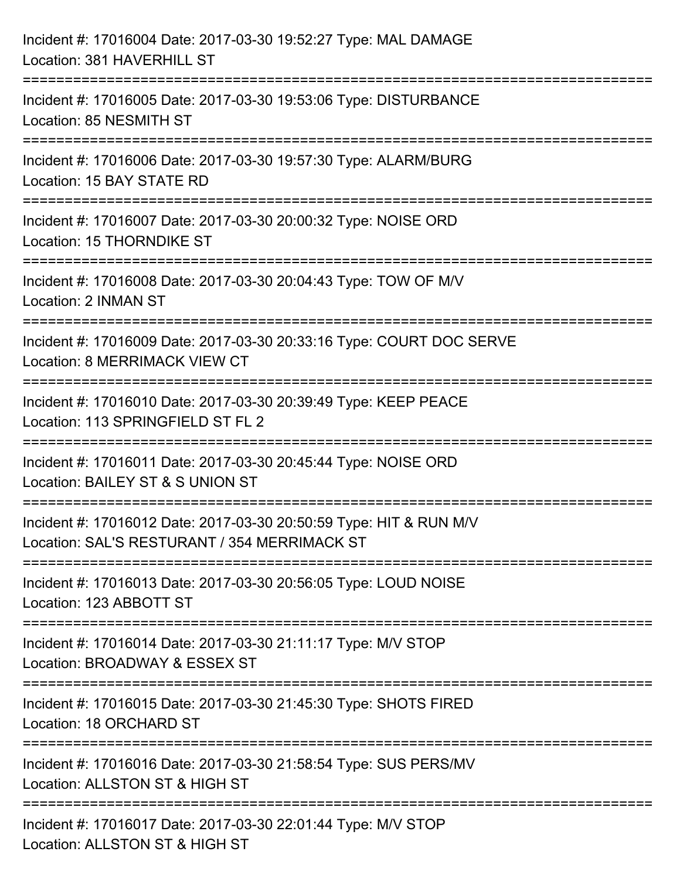| Incident #: 17016004 Date: 2017-03-30 19:52:27 Type: MAL DAMAGE<br>Location: 381 HAVERHILL ST                                          |
|----------------------------------------------------------------------------------------------------------------------------------------|
| Incident #: 17016005 Date: 2017-03-30 19:53:06 Type: DISTURBANCE<br>Location: 85 NESMITH ST                                            |
| Incident #: 17016006 Date: 2017-03-30 19:57:30 Type: ALARM/BURG<br>Location: 15 BAY STATE RD                                           |
| Incident #: 17016007 Date: 2017-03-30 20:00:32 Type: NOISE ORD<br>Location: 15 THORNDIKE ST                                            |
| Incident #: 17016008 Date: 2017-03-30 20:04:43 Type: TOW OF M/V<br>Location: 2 INMAN ST                                                |
| Incident #: 17016009 Date: 2017-03-30 20:33:16 Type: COURT DOC SERVE<br>Location: 8 MERRIMACK VIEW CT                                  |
| :=============================<br>Incident #: 17016010 Date: 2017-03-30 20:39:49 Type: KEEP PEACE<br>Location: 113 SPRINGFIELD ST FL 2 |
| Incident #: 17016011 Date: 2017-03-30 20:45:44 Type: NOISE ORD<br>Location: BAILEY ST & S UNION ST                                     |
| Incident #: 17016012 Date: 2017-03-30 20:50:59 Type: HIT & RUN M/V<br>Location: SAL'S RESTURANT / 354 MERRIMACK ST                     |
| -----------------------------<br>Incident #: 17016013 Date: 2017-03-30 20:56:05 Type: LOUD NOISE<br>Location: 123 ABBOTT ST            |
| Incident #: 17016014 Date: 2017-03-30 21:11:17 Type: M/V STOP<br>Location: BROADWAY & ESSEX ST                                         |
| ===============================<br>Incident #: 17016015 Date: 2017-03-30 21:45:30 Type: SHOTS FIRED<br>Location: 18 ORCHARD ST         |
| Incident #: 17016016 Date: 2017-03-30 21:58:54 Type: SUS PERS/MV<br>Location: ALLSTON ST & HIGH ST                                     |
| Incident #: 17016017 Date: 2017-03-30 22:01:44 Type: M/V STOP<br>Location: ALLSTON ST & HIGH ST                                        |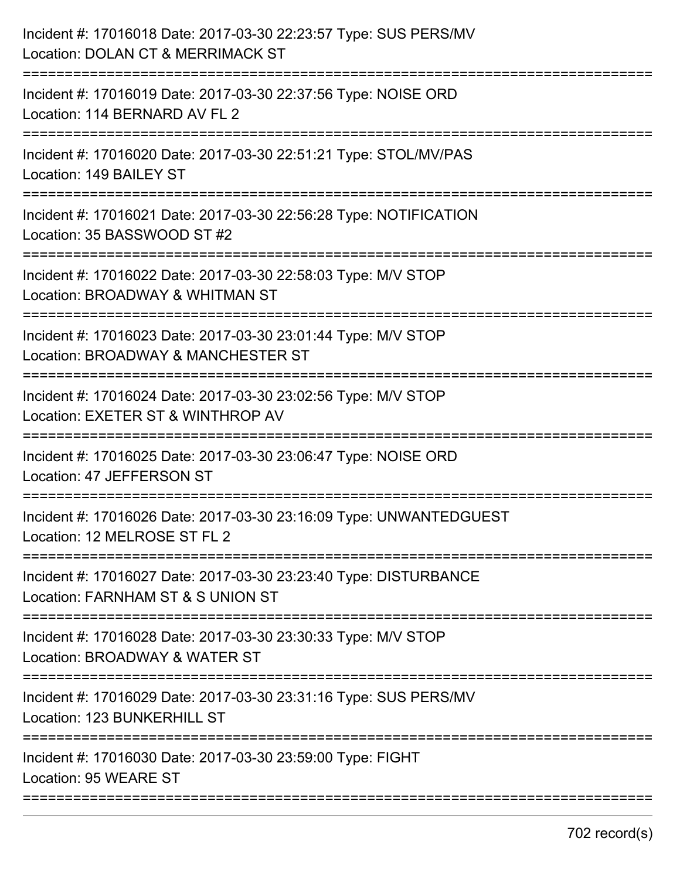| Incident #: 17016018 Date: 2017-03-30 22:23:57 Type: SUS PERS/MV<br>Location: DOLAN CT & MERRIMACK ST |
|-------------------------------------------------------------------------------------------------------|
| Incident #: 17016019 Date: 2017-03-30 22:37:56 Type: NOISE ORD<br>Location: 114 BERNARD AV FL 2       |
| Incident #: 17016020 Date: 2017-03-30 22:51:21 Type: STOL/MV/PAS<br>Location: 149 BAILEY ST           |
| Incident #: 17016021 Date: 2017-03-30 22:56:28 Type: NOTIFICATION<br>Location: 35 BASSWOOD ST #2      |
| Incident #: 17016022 Date: 2017-03-30 22:58:03 Type: M/V STOP<br>Location: BROADWAY & WHITMAN ST      |
| Incident #: 17016023 Date: 2017-03-30 23:01:44 Type: M/V STOP<br>Location: BROADWAY & MANCHESTER ST   |
| Incident #: 17016024 Date: 2017-03-30 23:02:56 Type: M/V STOP<br>Location: EXETER ST & WINTHROP AV    |
| Incident #: 17016025 Date: 2017-03-30 23:06:47 Type: NOISE ORD<br>Location: 47 JEFFERSON ST           |
| Incident #: 17016026 Date: 2017-03-30 23:16:09 Type: UNWANTEDGUEST<br>Location: 12 MELROSE ST FL 2    |
| Incident #: 17016027 Date: 2017-03-30 23:23:40 Type: DISTURBANCE<br>Location: FARNHAM ST & S UNION ST |
| Incident #: 17016028 Date: 2017-03-30 23:30:33 Type: M/V STOP<br>Location: BROADWAY & WATER ST        |
| Incident #: 17016029 Date: 2017-03-30 23:31:16 Type: SUS PERS/MV<br>Location: 123 BUNKERHILL ST       |
| Incident #: 17016030 Date: 2017-03-30 23:59:00 Type: FIGHT<br>Location: 95 WEARE ST                   |